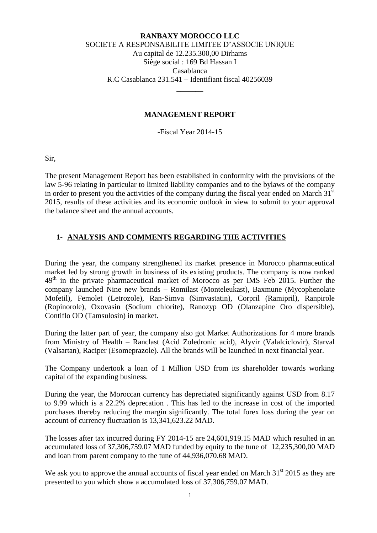### **RANBAXY MOROCCO LLC** SOCIETE A RESPONSABILITE LIMITEE D'ASSOCIE UNIQUE Au capital de 12.235.300,00 Dirhams Siège social : 169 Bd Hassan I Casablanca R.C Casablanca 231.541 – Identifiant fiscal 40256039

### **MANAGEMENT REPORT**

\_\_\_\_\_\_\_

-Fiscal Year 2014-15

Sir,

The present Management Report has been established in conformity with the provisions of the law 5-96 relating in particular to limited liability companies and to the bylaws of the company in order to present you the activities of the company during the fiscal year ended on March  $31<sup>st</sup>$ 2015, results of these activities and its economic outlook in view to submit to your approval the balance sheet and the annual accounts.

## **1- ANALYSIS AND COMMENTS REGARDING THE ACTIVITIES**

During the year, the company strengthened its market presence in Morocco pharmaceutical market led by strong growth in business of its existing products. The company is now ranked  $49<sup>th</sup>$  in the private pharmaceutical market of Morocco as per IMS Feb 2015. Further the company launched Nine new brands – Romilast (Monteleukast), Baxmune (Mycophenolate Mofetil), Femolet (Letrozole), Ran-Simva (Simvastatin), Corpril (Ramipril), Ranpirole (Ropinorole), Oxovasin (Sodium chlorite), Ranozyp OD (Olanzapine Oro dispersible), Contiflo OD (Tamsulosin) in market.

During the latter part of year, the company also got Market Authorizations for 4 more brands from Ministry of Health – Ranclast (Acid Zoledronic acid), Alyvir (Valalciclovir), Starval (Valsartan), Raciper (Esomeprazole). All the brands will be launched in next financial year.

The Company undertook a loan of 1 Million USD from its shareholder towards working capital of the expanding business.

During the year, the Moroccan currency has depreciated significantly against USD from 8.17 to 9.99 which is a 22.2% deprecation . This has led to the increase in cost of the imported purchases thereby reducing the margin significantly. The total forex loss during the year on account of currency fluctuation is 13,341,623.22 MAD.

The losses after tax incurred during FY 2014-15 are 24,601,919.15 MAD which resulted in an accumulated loss of 37,306,759.07 MAD funded by equity to the tune of 12,235,300,00 MAD and loan from parent company to the tune of 44,936,070.68 MAD.

We ask you to approve the annual accounts of fiscal year ended on March  $31<sup>st</sup> 2015$  as they are presented to you which show a accumulated loss of 37,306,759.07 MAD.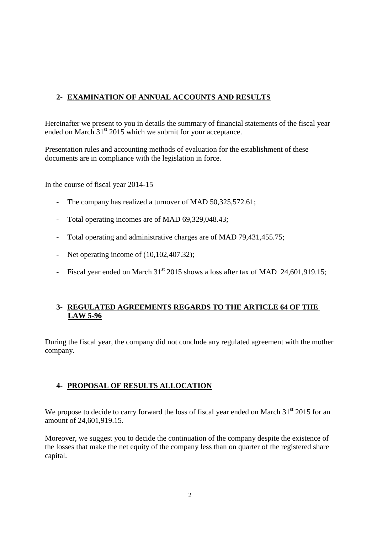# **2- EXAMINATION OF ANNUAL ACCOUNTS AND RESULTS**

Hereinafter we present to you in details the summary of financial statements of the fiscal year ended on March  $31<sup>st</sup>$  2015 which we submit for your acceptance.

Presentation rules and accounting methods of evaluation for the establishment of these documents are in compliance with the legislation in force.

In the course of fiscal year 2014-15

- The company has realized a turnover of MAD 50,325,572.61;
- Total operating incomes are of MAD 69,329,048.43;
- Total operating and administrative charges are of MAD 79,431,455.75;
- Net operating income of  $(10,102,407.32)$ ;
- Fiscal year ended on March  $31<sup>st</sup>$  2015 shows a loss after tax of MAD 24,601,919.15;

## **3- REGULATED AGREEMENTS REGARDS TO THE ARTICLE 64 OF THE LAW 5-96**

During the fiscal year, the company did not conclude any regulated agreement with the mother company.

## **4- PROPOSAL OF RESULTS ALLOCATION**

We propose to decide to carry forward the loss of fiscal year ended on March  $31<sup>st</sup>$  2015 for an amount of 24,601,919.15.

Moreover, we suggest you to decide the continuation of the company despite the existence of the losses that make the net equity of the company less than on quarter of the registered share capital.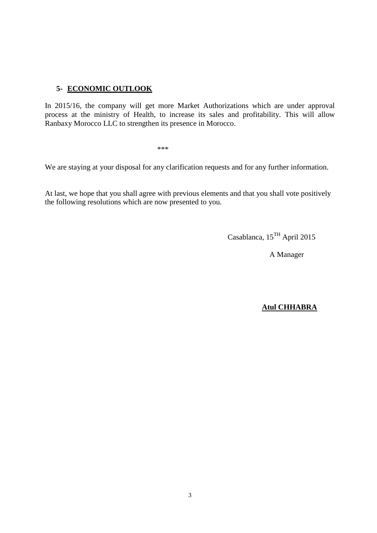## **5- ECONOMIC OUTLOOK**

In 2015/16, the company will get more Market Authorizations which are under approval process at the ministry of Health, to increase its sales and profitability. This will allow Ranbaxy Morocco LLC to strengthen its presence in Morocco.

 $***$ 

We are staying at your disposal for any clarification requests and for any further information.

At last, we hope that you shall agree with previous elements and that you shall vote positively the following resolutions which are now presented to you.

Casablanca, 15TH April 2015

A Manager

### **Atul CHHABRA**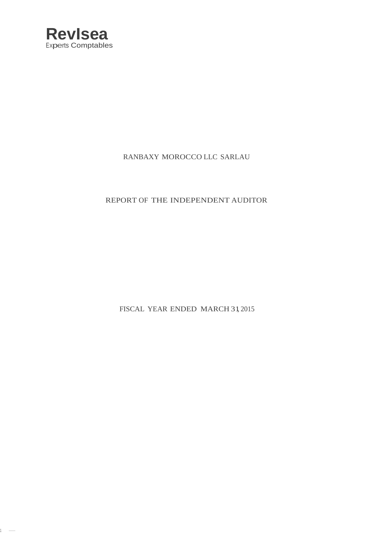

 $1 -$ 

## RANBAXY MOROCCO LLC SARLAU

## REPORT OF THE INDEPENDENT AUDITOR

FISCAL YEAR ENDED MARCH 31, 2015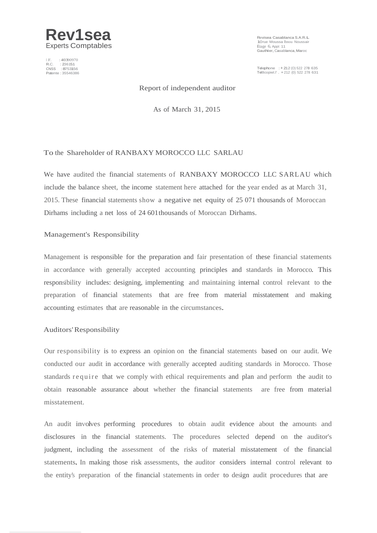

I.F. :40390970 R.C. :236151 nto: 1256161<br>CNSS : 8753156<br>Patente : 35546386

Revisea Casablanca S.A.R.L 10 rue Moussa Ibnou Noussair Etage 6, Appt 11 Gauthier,Casablanca,Maroc

Telephone :<sup>+</sup> <sup>212</sup> (O) <sup>522</sup> <sup>278</sup> <sup>635</sup> Tel8copiel.l' . <sup>+</sup><sup>212</sup> (0) <sup>522</sup> <sup>278</sup> <sup>631</sup>

Report of independent auditor

As of March 31, 2015

#### To the Shareholder of RANBAXY MOROCCO LLC SARLAU

We have audited the financial statements of RANBAXY MOROCCO LLC SARLAU which include the balance sheet, the income statement here attached for the year ended as at March 31, 2015. These financial statements show a negative net equity of 25 071 thousands of Moroccan Dirhams including a net loss of 24 601thousands of Moroccan Dirhams.

#### Management's Responsibility

Management is responsible for the preparation and fair presentation of these financial statements in accordance with generally accepted accounting principles and standards in Morocco. This responsibility includes: designing, implementing and maintaining internal control relevant to the preparation of financial statements that are free from material misstatement and making accounting estimates that are reasonable in the circumstances.

#### Auditors'Responsibility

Our responsibility is to express an opinion on the financial statements based on our audit. We conducted our audit in accordance with generally accepted auditing standards in Morocco. Those standards require that we comply with ethical requirements and plan and perform the audit to obtain reasonable assurance about whether the financial statements are free from material misstatement.

An audit involves performing procedures to obtain audit evidence about the amounts and disclosures in the financial statements. The procedures selected depend on the auditor's judgment, including the assessment of the risks of material misstatement of the financial statements. In making those risk assessments, the auditor considers internal control relevant to the entity's preparation of the financial statements in order to design audit procedures that are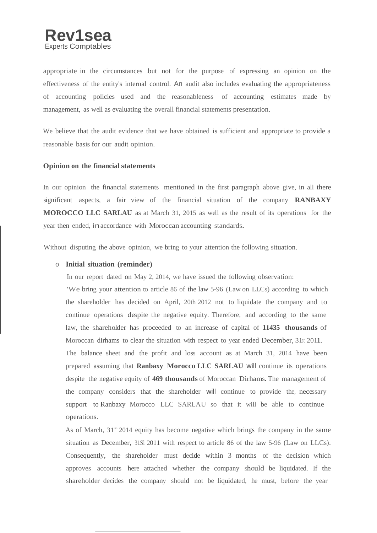appropriate in the circumstances but not for the purpose of expressing an opinion on the effectiveness of the entity's internal control. An audit also includes evaluating the appropriateness of accounting policies used and the reasonableness of accounting estimates made by management, as well as evaluating the overall financial statements presentation.

We believe that the audit evidence that we have obtained is sufficient and appropriate to provide a reasonable basis for our audit opinion.

#### **Opinion on the financial statements**

In our opinion the financial statements mentioned in the first paragraph above give, in all there significant aspects, a fair view of the financial situation of the company **RANBAXY MOROCCO LLC SARLAU** as at March 31, 2015 as well as the result of its operations for the year then ended, inaccordance with Moroccan accounting standards.

Without disputing the above opinion, we bring to your attention the following situation.

#### o **Initial situation (reminder)**

In our report dated on May 2, 2014, we have issued the following observation:

'We bring your attention to article 86 of the law 5-96 (Law on LLCs) according to which the shareholder has decided on April, 20th 2012 not to liquidate the company and to continue operations despite the negative equity. Therefore, and according to the same law, the shareholder has proceeded to an increase of capital of **11435 thousands** of Moroccan dirhams to clear the situation with respect to year ended December, 31st 2011. The balance sheet and the profit and loss account as at March 31, 2014 have been prepared assuming that **Ranbaxy Morocco LLC SARLAU** will continue its operations despite the negative equity of **469 thousands** of Moroccan Dirhams. The management of the company considers that the shareholder will continue to provide the, necessary support to Ranbaxy Morocco LLC SARLAU so that it will be able to continue operations.

As of March, 31<sup>51</sup> 2014 equity has become negative which brings the company in the same situation as December, 31Sl 2011 with respect to article 86 of the law 5-96 (Law on LLCs). Consequently, the shareholder must decide within 3 months of the decision which approves accounts here attached whether the company should be liquidated. If the shareholder decides the company should not be liquidated, he must, before the year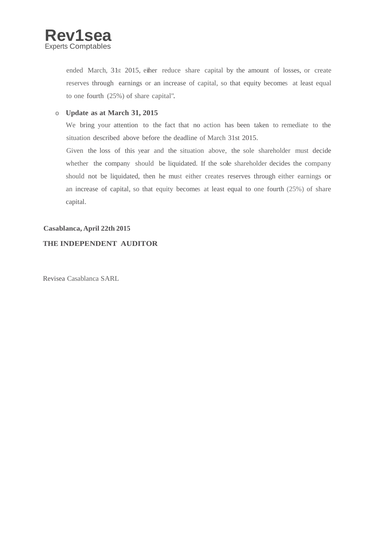

ended March, 31st 2015, either reduce share capital by the amount of losses, or create reserves through earnings or an increase of capital, so that equity becomes at least equal to one fourth (25%) of share capital".

#### o **Update as at March 31, 2015**

We bring your attention to the fact that no action has been taken to remediate to the situation described above before the deadline of March 31st 2015.

Given the loss of this year and the situation above, the sole shareholder must decide whether the company should be liquidated. If the sole shareholder decides the company should not be liquidated, then he must either creates reserves through either earnings or an increase of capital, so that equity becomes at least equal to one fourth (25%) of share capital.

#### **Casablanca, April 22th 2015**

### **THE INDEPENDENT AUDITOR**

Revisea Casablanca SARL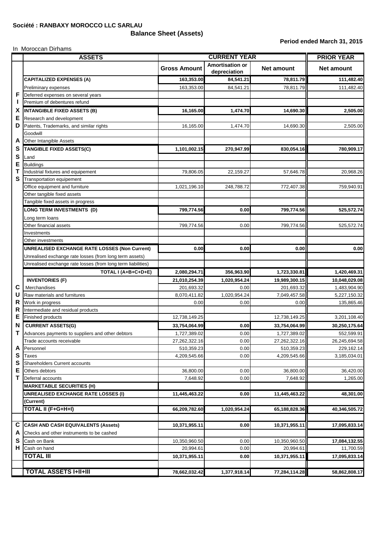**Balance Sheet (Assets)**

In Moroccan Dirhams

#### **Period ended March 31, 2015**

|                  | <b>ASSETS</b>                                                | <b>CURRENT YEAR</b>  |                                        |                      | <b>PRIOR YEAR</b> |  |
|------------------|--------------------------------------------------------------|----------------------|----------------------------------------|----------------------|-------------------|--|
|                  |                                                              | <b>Gross Amount</b>  | <b>Amortisation or</b><br>depreciation | <b>Net amount</b>    | <b>Net amount</b> |  |
| F<br>X           | <b>CAPITALIZED EXPENSES (A)</b>                              | 163,353.00           | 84,541.21                              | 78,811.79            | 111,482.40        |  |
|                  | Preliminary expenses                                         | 163,353.00           | 84,541.21                              | 78,811.79            | 111,482.40        |  |
|                  | Deferred expenses on several years                           |                      |                                        |                      |                   |  |
|                  | Premium of debentures refund                                 |                      |                                        |                      |                   |  |
|                  | <b>INTANGIBLE FIXED ASSETS (B)</b>                           | 16,165.00            | 1,474.70                               | 14,690.30            | 2,505.00          |  |
| Е                | Research and development                                     |                      |                                        |                      |                   |  |
| D                | Patents, Trademarks, and similar rights                      | 16,165.00            | 1,474.70                               | 14,690.30            | 2,505.00          |  |
|                  | Goodwill                                                     |                      |                                        |                      |                   |  |
| A                | Other Intangible Assets                                      |                      |                                        |                      |                   |  |
| S                | <b>TANGIBLE FIXED ASSETS(C)</b>                              | 1,101,002.15         | 270,947.99                             | 830,054.16           | 780,909.17        |  |
| S                | Land                                                         |                      |                                        |                      |                   |  |
| E                | <b>Buildings</b>                                             |                      |                                        |                      |                   |  |
| Т                | Industrial fixtures and equipement                           | 79,806.05            | 22,159.27                              | 57,646.78            | 20,968.26         |  |
| S                | Transportation equipement                                    |                      |                                        |                      |                   |  |
|                  | Office equipment and furniture                               | 1,021,196.10         | 248,788.72                             | 772,407.38           | 759,940.91        |  |
|                  | Other tangible fixed assets                                  |                      |                                        |                      |                   |  |
|                  | Tangible fixed assets in progress                            |                      |                                        |                      |                   |  |
|                  | <b>LONG TERM INVESTMENTS (D)</b>                             | 799,774.56           | 0.00                                   | 799,774.56           | 525,572.74        |  |
|                  | Long term loans                                              |                      |                                        |                      |                   |  |
|                  | Other financial assets                                       | 799,774.56           | 0.00                                   | 799,774.56           | 525,572.74        |  |
|                  | Investments                                                  |                      |                                        |                      |                   |  |
|                  | Other investments                                            |                      |                                        |                      |                   |  |
|                  | <b>UNREALISED EXCHANGE RATE LOSSES (Non Current)</b>         | 0.00                 | 0.00                                   | 0.00                 | 0.00              |  |
|                  | Unrealised exchange rate losses (from long term assets)      |                      |                                        |                      |                   |  |
|                  | Unrealised exchange rate losses (from long term liabilities) |                      |                                        |                      |                   |  |
| С<br>U           | TOTAL I (A+B+C+D+E)                                          | 2,080,294.71         | 356,963.90                             | 1,723,330.81         | 1,420,469.31      |  |
|                  |                                                              |                      |                                        |                      |                   |  |
|                  | <b>INVENTORIES (F)</b>                                       | 21,010,254.39        | 1,020,954.24                           | 19,989,300.15        | 10,048,029.08     |  |
|                  | Merchandises<br>Raw materials and furnitures                 | 201,693.32           | 0.00                                   | 201,693.32           | 1,483,904.90      |  |
|                  | Work in progress                                             | 8,070,411.82<br>0.00 | 1,020,954.24<br>0.00                   | 7,049,457.58<br>0.00 | 5,227,150.32      |  |
| R<br>R           | Intermediate and residual products                           |                      |                                        |                      | 135,865.46        |  |
| E                | <b>Finished products</b>                                     | 12,738,149.25        |                                        | 12,738,149.25        | 3,201,108.40      |  |
|                  |                                                              |                      |                                        |                      |                   |  |
| N                | <b>CURRENT ASSETS(G)</b>                                     | 33,754,064.99        | 0.00                                   | 33,754,064.99        | 30,250,175.64     |  |
|                  | Advances payments to suppliers and other debtors             | 1,727,389.02         | 0.00                                   | 1,727,389.02         | 552,599.91        |  |
|                  | Trade accounts receivable                                    | 27,262,322.16        | 0.00                                   | 27,262,322.16        | 26,245,694.58     |  |
| A                | Personnel                                                    | 510,359.23           | 0.00                                   | 510,359.23           | 229,162.14        |  |
| S                | <b>Taxes</b>                                                 | 4,209,545.66         | 0.00                                   | 4,209,545.66         | 3,185,034.01      |  |
| S                | Shareholders Current accounts                                |                      |                                        |                      |                   |  |
| Е<br>$\mathbf T$ | Others debtors                                               | 36,800.00            | 0.00                                   | 36,800.00            | 36,420.00         |  |
|                  | Deferral accounts                                            | 7,648.92             | 0.00                                   | 7,648.92             | 1,265.00          |  |
|                  | <b>MARKETABLE SECURITIES (H)</b>                             |                      |                                        |                      |                   |  |
|                  | <b>UNREALISED EXCHANGE RATE LOSSES (I)</b>                   | 11,445,463.22        | 0.00                                   | 11,445,463.22        | 48,301.00         |  |
|                  | (Current)                                                    |                      |                                        |                      |                   |  |
|                  | TOTAL II (F+G+H+I)                                           | 66,209,782.60        | 1,020,954.24                           | 65,188,828.36        | 40,346,505.72     |  |
|                  |                                                              |                      |                                        |                      |                   |  |
| C                | <b>CASH AND CASH EQUIVALENTS (Assets)</b>                    | 10,371,955.11        | 0.00                                   | 10,371,955.11        | 17,095,833.14     |  |
| A                | Checks and other instruments to be cashed                    |                      |                                        |                      |                   |  |
| S                | Cash on Bank                                                 | 10,350,960.50        | 0.00                                   | 10,350,960.50        | 17,084,132.55     |  |
| H.               | Cash on hand                                                 | 20,994.61            | 0.00                                   | 20,994.61            | 11,700.59         |  |
|                  | <b>TOTAL III</b>                                             | 10,371,955.11        | 0.00                                   | 10,371,955.11        | 17,095,833.14     |  |
|                  |                                                              |                      |                                        |                      |                   |  |
|                  | <b>TOTAL ASSETS I+II+III</b>                                 | 78,662,032.42        | 1,377,918.14                           | 77,284,114.28        | 58,862,808.17     |  |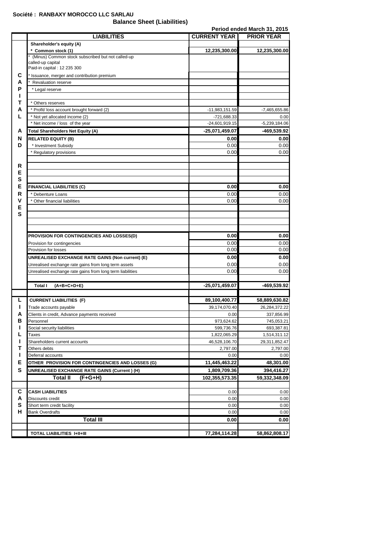## **Société : RANBAXY MOROCCO LLC SARLAU**

**Balance Sheet (Liabilities)**

**Period ended March 31, 2015**

|        | <b>LIABILITIES</b>                                                     | <b>CURRENT YEAR</b>      | <b>PRIOR YEAR</b>        |
|--------|------------------------------------------------------------------------|--------------------------|--------------------------|
|        | Shareholder's equity (A)                                               |                          |                          |
|        | * Common stock (1)                                                     | 12,235,300.00            | 12,235,300.00            |
|        | (Minus) Common stock subscribed but not called-up<br>called-up capital |                          |                          |
|        | Paid-in capital: 12 235 300                                            |                          |                          |
| С      | Issuance, merger and contribution premium                              |                          |                          |
| А      | <b>Revaluation reserve</b>                                             |                          |                          |
| Р      | * Legal reserve                                                        |                          |                          |
|        |                                                                        |                          |                          |
| т      | * Others reserves                                                      |                          |                          |
| А      | * Profit/ loss account brought forward (2)                             | -11,983,151.59           | -7,465,655.86            |
| L      | * Not yet allocated income (2)                                         | -721,688.33              | 0.00                     |
|        | * Net income / loss of the year                                        | $-24,601,919.15$         | $-5,239,184.06$          |
| A      | Total Shareholders Net Equity (A)                                      | -25,071,459.07           | -469,539.92              |
| N      | <b>RELATED EQUITY (B)</b>                                              | 0.00                     | 0.00                     |
| D      | * Investment Subsidy                                                   | 0.00                     | 0.00                     |
|        | * Regulatory provisions                                                | 0.00                     | 0.00                     |
|        |                                                                        |                          |                          |
| R      |                                                                        |                          |                          |
| Е      |                                                                        |                          |                          |
| S      |                                                                        |                          |                          |
| Е      | <b>FINANCIAL LIABILITIES (C)</b>                                       | 0.00                     | 0.00                     |
| R      | * Debenture Loans                                                      | 0.00                     | 0.00                     |
| v      | * Other financial liabilities                                          | 0.00                     | 0.00                     |
| Е      |                                                                        |                          |                          |
| S      |                                                                        |                          |                          |
|        |                                                                        |                          |                          |
|        |                                                                        |                          |                          |
|        | PROVISION FOR CONTINGENCIES AND LOSSES(D)                              | 0.00                     | 0.00                     |
|        | Provision for contingencies                                            | 0.00                     | 0.00                     |
|        | Provision for losses                                                   | 0.00                     | 0.00                     |
|        | UNREALISED EXCHANGE RATE GAINS (Non current) (E)                       | 0.00                     | 0.00                     |
|        | Unrealised exchange rate gains from long term assets                   | 0.00                     | 0.00                     |
|        | Unrealised exchange rate gains from long term liabilities              | 0.00                     | 0.00                     |
|        |                                                                        |                          |                          |
|        | <b>Total I</b><br>$(A+B+C+D+E)$                                        | -25,071,459.07           | -469,539.92              |
| L      | <b>CURRENT LIABILITIES (F)</b>                                         | 89,100,400.77            |                          |
|        |                                                                        |                          | 58,889,630.82            |
| Ш      | Trade accounts payable                                                 | 39.174.070.40            | 26,284,372.22            |
| А<br>в | Clients in credit, Advance payments received                           | 0.00                     | 337,856.99               |
|        | Personnel<br>Social security liabilities                               | 973,624.62<br>599,736.76 | 745,053.21<br>693,387.81 |
|        | Taxes                                                                  | 1,822,065.29             | 1,514,311.12             |
|        | Shareholders current accounts                                          | 46,528,106.70            | 29,311,852.47            |
| Т      | Others debts                                                           | 2,797.00                 | 2,797.00                 |
|        | Deferral accounts                                                      | 0.00                     | 0.00                     |
| Е      | OTHER PROVISION FOR CONTINGENCIES AND LOSSES (G)                       | 11,445,463.22            | 48,301.00                |
| S      | UNREALISED EXCHANGE RATE GAINS (Current) (H)                           | 1,809,709.36             | 394,416.27               |
|        | <b>Total II</b><br>$(F+G+H)$                                           | 102,355,573.35           | 59,332,348.09            |
|        |                                                                        |                          |                          |
| С      | <b>CASH LIABILITIES</b>                                                | 0.00                     | 0.00                     |
| A      | Discounts credit                                                       | 0.00                     | 0.00                     |
| s      | Short term credit facility                                             | 0.00                     | 0.00                     |
| н      | Bank Overdrafts                                                        | 0.00                     | 0.00                     |
|        | <b>Total III</b>                                                       | 0.00                     | 0.00                     |
|        |                                                                        |                          |                          |
|        | <b>TOTAL LIABILITIES I+II+III</b>                                      | 77,284,114.28            | 58,862,808.17            |
|        |                                                                        |                          |                          |